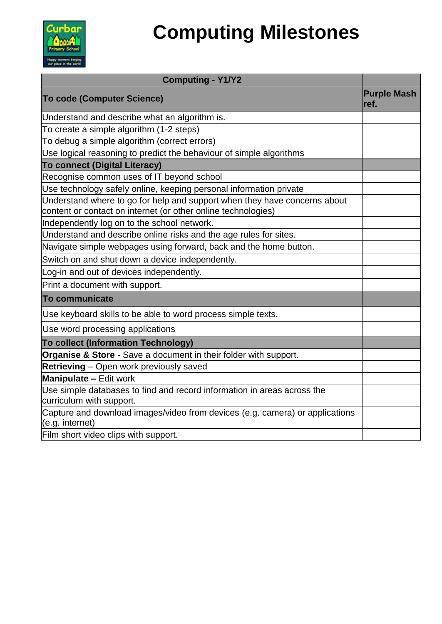

# **Computing Milestones**

| <b>Computing - Y1/Y2</b>                                                                                                                   |                            |
|--------------------------------------------------------------------------------------------------------------------------------------------|----------------------------|
| <b>To code (Computer Science)</b>                                                                                                          | <b>Purple Mash</b><br>ref. |
| Understand and describe what an algorithm is.                                                                                              |                            |
| To create a simple algorithm (1-2 steps)                                                                                                   |                            |
| To debug a simple algorithm (correct errors)                                                                                               |                            |
| Use logical reasoning to predict the behaviour of simple algorithms                                                                        |                            |
| <b>To connect (Digital Literacy)</b>                                                                                                       |                            |
| Recognise common uses of IT beyond school                                                                                                  |                            |
| Use technology safely online, keeping personal information private                                                                         |                            |
| Understand where to go for help and support when they have concerns about<br>content or contact on internet (or other online technologies) |                            |
| Independently log on to the school network.                                                                                                |                            |
| Understand and describe online risks and the age rules for sites.                                                                          |                            |
| Navigate simple webpages using forward, back and the home button.                                                                          |                            |
| Switch on and shut down a device independently.                                                                                            |                            |
| Log-in and out of devices independently.                                                                                                   |                            |
| Print a document with support.                                                                                                             |                            |
| <b>To communicate</b>                                                                                                                      |                            |
| Use keyboard skills to be able to word process simple texts.                                                                               |                            |
| Use word processing applications                                                                                                           |                            |
| <b>To collect (Information Technology)</b>                                                                                                 |                            |
| Organise & Store - Save a document in their folder with support.                                                                           |                            |
| <b>Retrieving</b> – Open work previously saved                                                                                             |                            |
| <b>Manipulate - Edit work</b>                                                                                                              |                            |
| Use simple databases to find and record information in areas across the<br>curriculum with support.                                        |                            |
| Capture and download images/video from devices (e.g. camera) or applications<br>(e.g. internet)                                            |                            |
| Film short video clips with support.                                                                                                       |                            |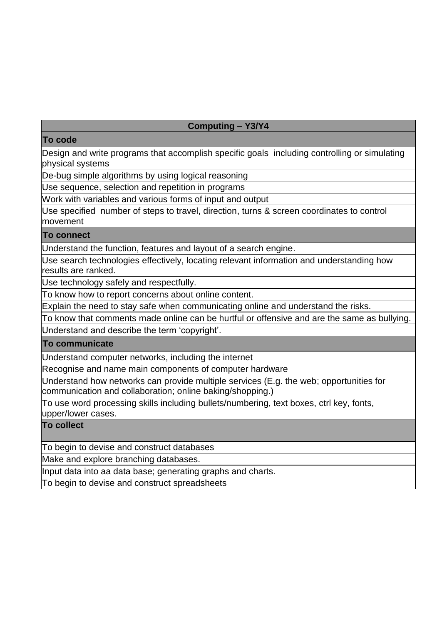## **Computing – Y3/Y4**

#### **To code**

Design and write programs that accomplish specific goals including controlling or simulating physical systems

De-bug simple algorithms by using logical reasoning

Use sequence, selection and repetition in programs

Work with variables and various forms of input and output

Use specified number of steps to travel, direction, turns & screen coordinates to control movement

#### **To connect**

Understand the function, features and layout of a search engine.

Use search technologies effectively, locating relevant information and understanding how results are ranked.

Use technology safely and respectfully.

To know how to report concerns about online content.

Explain the need to stay safe when communicating online and understand the risks.

To know that comments made online can be hurtful or offensive and are the same as bullying. Understand and describe the term 'copyright'.

**To communicate**

Understand computer networks, including the internet

Recognise and name main components of computer hardware

Understand how networks can provide multiple services (E.g. the web; opportunities for communication and collaboration; online baking/shopping.)

To use word processing skills including bullets/numbering, text boxes, ctrl key, fonts, upper/lower cases.

## **To collect**

To begin to devise and construct databases

Make and explore branching databases.

Input data into aa data base; generating graphs and charts.

To begin to devise and construct spreadsheets